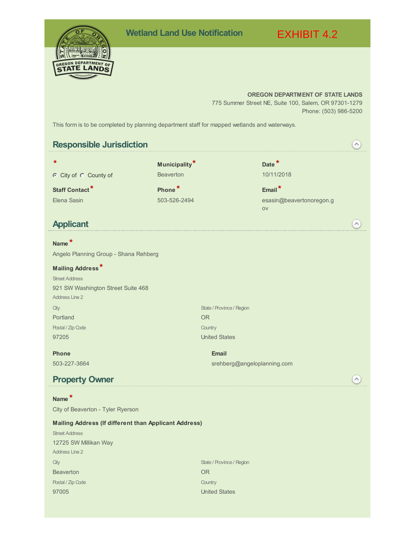# **FGON DEPARTMEN TATE LAND**

## **OREGON DEPARTMENT OF STATE LANDS**

EXHIBIT 4.2

775 Summer Street NE, Suite 100, Salem, OR 97301-1279 Phone: (503) 986-5200

This form is to be completed by planning department staff for mapped wetlands and waterways.

#### **Responsible Jurisdiction**  $\curvearrowright)$ **\* Date \* \* Municipality** C City of C County of Beaverton 20011/2018 **Staff Contact\* Phone \* Email\*** Elena Sasin 603-526-2494 esasin@beavertonoregon.g ov **Applicant**  $\curvearrowright)$ **Name \*** Angelo Planning Group - Shana Rehberg **Mailing Address \*** Street Address 921 SW Washington Street Suite 468 Address Line 2 **City** State / Province / Region Portland OR Postal / Zip Code **Country** 97205 United States **Phone Email** 503-227-3664 srehberg@angeloplanning.com **Property Owner**  $\curvearrowright)$ **Name \*** City of Beaverton - Tyler Ryerson **Mailing Address (If different than Applicant Address)** Street Address 12725 SW Millikan Way Address Line 2 **City** State / Province / Region **Beaverton** OR Postal / Zip Code **Country** 97005 United States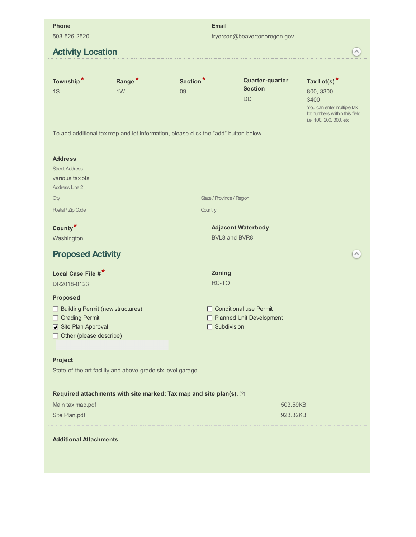| <b>Phone</b><br>503-526-2520                                                                                                         |                                      |                                                                                                                   | <b>Email</b><br>tryerson@beavertonoregon.gov                             |                                                                                                                                  |  |  |  |
|--------------------------------------------------------------------------------------------------------------------------------------|--------------------------------------|-------------------------------------------------------------------------------------------------------------------|--------------------------------------------------------------------------|----------------------------------------------------------------------------------------------------------------------------------|--|--|--|
|                                                                                                                                      |                                      |                                                                                                                   |                                                                          |                                                                                                                                  |  |  |  |
| <b>Activity Location</b>                                                                                                             |                                      |                                                                                                                   |                                                                          | ٨                                                                                                                                |  |  |  |
| Township*<br>1S                                                                                                                      | Range <sup>*</sup><br>1 <sub>W</sub> | Section <sup>*</sup><br>09<br>To add additional tax map and lot information, please click the "add" button below. | Quarter-quarter<br><b>Section</b><br><b>DD</b>                           | Tax Lot(s) $*$<br>800, 3300,<br>3400<br>You can enter multiple tax<br>lot numbers within this field.<br>i.e. 100, 200, 300, etc. |  |  |  |
| <b>Address</b><br><b>Street Address</b><br>various taxlots<br><b>Address Line 2</b><br>City<br>Postal / Zip Code                     |                                      | State / Province / Region<br>Country                                                                              |                                                                          |                                                                                                                                  |  |  |  |
|                                                                                                                                      |                                      |                                                                                                                   |                                                                          |                                                                                                                                  |  |  |  |
| County <sup>*</sup><br>Washington                                                                                                    |                                      |                                                                                                                   | <b>Adjacent Waterbody</b><br>BVL8 and BVR8                               |                                                                                                                                  |  |  |  |
| <b>Proposed Activity</b>                                                                                                             |                                      |                                                                                                                   |                                                                          |                                                                                                                                  |  |  |  |
|                                                                                                                                      |                                      |                                                                                                                   |                                                                          |                                                                                                                                  |  |  |  |
| Local Case File #*                                                                                                                   |                                      | Zoning                                                                                                            |                                                                          |                                                                                                                                  |  |  |  |
| DR2018-0123                                                                                                                          |                                      | RC-TO                                                                                                             |                                                                          |                                                                                                                                  |  |  |  |
| <b>Proposed</b><br><b>Building Permit (new structures)</b><br>Grading Permit<br>Site Plan Approval<br>$\Box$ Other (please describe) |                                      |                                                                                                                   | $\Box$ Conditional use Permit<br>Planned Unit Development<br>Subdivision |                                                                                                                                  |  |  |  |
| Project<br>State-of-the art facility and above-grade six-level garage.                                                               |                                      |                                                                                                                   |                                                                          |                                                                                                                                  |  |  |  |
|                                                                                                                                      |                                      | Required attachments with site marked: Tax map and site plan(s). (?)                                              |                                                                          |                                                                                                                                  |  |  |  |
| Main tax map.pdf<br>503.59KB                                                                                                         |                                      |                                                                                                                   |                                                                          |                                                                                                                                  |  |  |  |
| Site Plan.pdf                                                                                                                        |                                      | 923.32KB                                                                                                          |                                                                          |                                                                                                                                  |  |  |  |
| <b>Additional Attachments</b>                                                                                                        |                                      |                                                                                                                   |                                                                          |                                                                                                                                  |  |  |  |